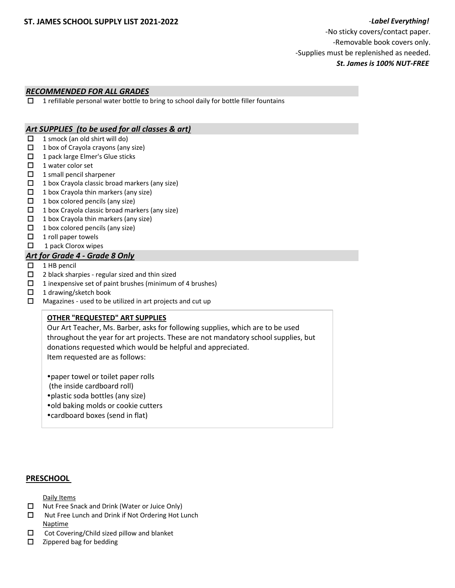## *RECOMMENDED FOR ALL GRADES*

 $\Box$  1 refillable personal water bottle to bring to school daily for bottle filler fountains

## *Art SUPPLIES (to be used for all classes & art)*

- $\Box$  1 smock (an old shirt will do)
- $\Box$  1 box of Crayola crayons (any size)
- □ 1 pack large Elmer's Glue sticks
- $\Box$  1 water color set
- $\Box$  1 small pencil sharpener
- $\Box$  1 box Crayola classic broad markers (any size)
- $\Box$  1 box Crayola thin markers (any size)
- $\Box$  1 box colored pencils (any size)
- $\Box$  1 box Crayola classic broad markers (any size)
- $\Box$  1 box Crayola thin markers (any size)
- $\Box$  1 box colored pencils (any size)
- $\Box$  1 roll paper towels
- $\Box$  1 pack Clorox wipes

## *Art for Grade 4 - Grade 8 Only*

- $\Box$  1 HB pencil
- $\square$  2 black sharpies regular sized and thin sized
- $\Box$  1 inexpensive set of paint brushes (minimum of 4 brushes)
- $\Box$  1 drawing/sketch book
- $\Box$  Magazines used to be utilized in art projects and cut up

## **OTHER "REQUESTED" ART SUPPLIES**

Our Art Teacher, Ms. Barber, asks for following supplies, which are to be used throughout the year for art projects. These are not mandatory school supplies, but donations requested which would be helpful and appreciated. Item requested are as follows:

paper towel or toilet paper rolls (the inside cardboard roll) plastic soda bottles (any size) old baking molds or cookie cutters cardboard boxes (send in flat)

## **PRESCHOOL**

Daily Items

- □ Nut Free Snack and Drink (Water or Juice Only)
- $\Box$  Nut Free Lunch and Drink if Not Ordering Hot Lunch Naptime
- $\Box$  Cot Covering/Child sized pillow and blanket
- $\square$  Zippered bag for bedding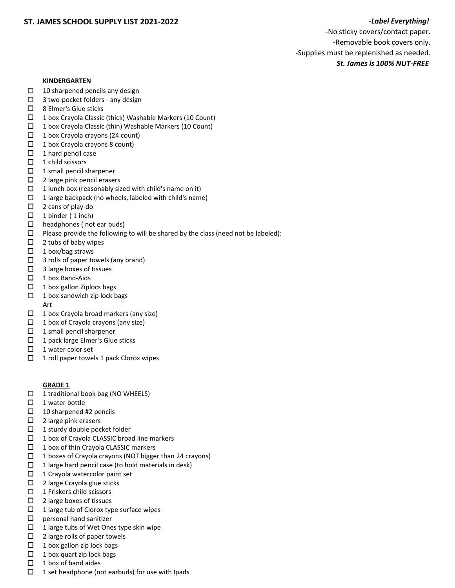-No sticky covers/contact paper. -Removable book covers only. -Supplies must be replenished as needed. *St. James is 100% NUT-FREE* 

## **KINDERGARTEN**

- $\Box$  10 sharpened pencils any design
- $\Box$  3 two-pocket folders any design
- □ 8 Elmer's Glue sticks
- 1 box Crayola Classic (thick) Washable Markers (10 Count)
- $\Box$  1 box Crayola Classic (thin) Washable Markers (10 Count)
- $\Box$  1 box Crayola crayons (24 count)
- $\Box$  1 box Crayola crayons 8 count)
- $\Box$  1 hard pencil case
- $\Box$  1 child scissors
- $\Box$  1 small pencil sharpener
- □ 2 large pink pencil erasers
- $\Box$  1 lunch box (reasonably sized with child's name on it)
- $\Box$  1 large backpack (no wheels, labeled with child's name)
- □ 2 cans of play-do
- $\Box$  1 binder (1 inch)
- $\Box$  headphones (not ear buds)
- $\square$  Please provide the following to will be shared by the class (need not be labeled):
- $\Box$  2 tubs of baby wipes
- $\Box$  1 box/bag straws
- $\Box$  3 rolls of paper towels (any brand)
- $\Box$  3 large boxes of tissues
- $\Box$  1 box Band-Aids
- $\Box$  1 box gallon Ziplocs bags
- $\Box$  1 box sandwich zip lock bags
- Art
- $\Box$  1 box Crayola broad markers (any size)
- $\Box$  1 box of Crayola crayons (any size)
- $\Box$  1 small pencil sharpener
- $\Box$  1 pack large Elmer's Glue sticks
- $\Box$  1 water color set
- $\Box$  1 roll paper towels 1 pack Clorox wipes

# **GRADE 1**

- $\Box$  1 traditional book bag (NO WHEELS)
- $\Box$  1 water bottle
- $\Box$  10 sharpened #2 pencils
- $\square$  2 large pink erasers
- $\Box$  1 sturdy double pocket folder
- $\Box$  1 box of Crayola CLASSIC broad line markers
- $\Box$  1 box of thin Crayola CLASSIC markers
- $\Box$  1 boxes of Crayola crayons (NOT bigger than 24 crayons)
- $\Box$  1 large hard pencil case (to hold materials in desk)
- $\Box$  1 Crayola watercolor paint set
- $\square$  2 large Crayola glue sticks
- $\Box$  1 Friskers child scissors
- $\Box$  2 large boxes of tissues
- $\Box$  1 large tub of Clorox type surface wipes
- $\Box$  personal hand sanitizer
- $\Box$  1 large tubs of Wet Ones type skin wipe
- $\Box$  2 large rolls of paper towels
- $\Box$  1 box gallon zip lock bags
- $\Box$  1 box quart zip lock bags
- $\Box$  1 box of band aides
- $\Box$  1 set headphone (not earbuds) for use with Ipads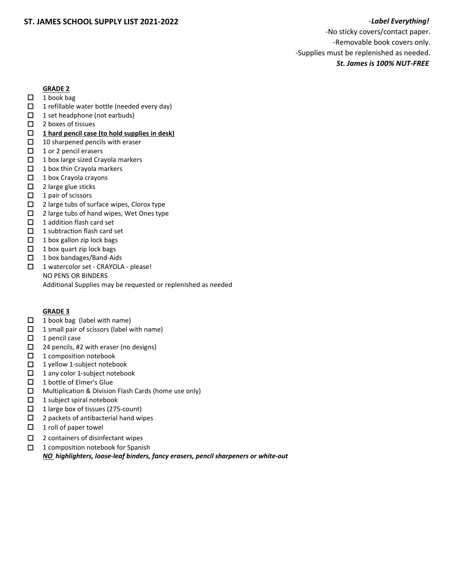-No sticky covers/contact paper. -Removable book covers only. -Supplies must be replenished as needed. *St. James is 100% NUT-FREE* 

## **GRADE 2**

- $\Box$  1 book bag
- $\Box$  1 refillable water bottle (needed every day)
- $\Box$  1 set headphone (not earbuds)
- $\Box$  2 boxes of tissues
- **1 hard pencil case (to hold supplies in desk)**
- $\Box$  10 sharpened pencils with eraser
- $\Box$  1 or 2 pencil erasers
- $\Box$  1 box large sized Crayola markers
- $\Box$  1 box thin Crayola markers
- $\Box$  1 box Crayola crayons
- $\Box$  2 large glue sticks
- $\Box$  1 pair of scissors
- $\Box$  2 large tubs of surface wipes, Clorox type
- $\Box$  2 large tubs of hand wipes, Wet Ones type
- $\Box$  1 addition flash card set
- $\Box$  1 subtraction flash card set
- $\Box$  1 box gallon zip lock bags
- $\Box$  1 box quart zip lock bags
- $\Box$  1 box bandages/Band-Aids
- □ 1 watercolor set CRAYOLA please! NO PENS OR BINDERS Additional Supplies may be requested or replenished as needed

# **GRADE 3**

- $\Box$  1 book bag (label with name)
- $\Box$  1 small pair of scissors (label with name)
- $\Box$  1 pencil case
- $\Box$  24 pencils, #2 with eraser (no designs)
- $\Box$  1 composition notebook
- $\Box$  1 yellow 1-subject notebook
- $\Box$  1 any color 1-subject notebook
- $\Box$  1 bottle of Elmer's Glue
- Multiplication & Division Flash Cards (home use only)
- $\Box$  1 subject spiral notebook
- $\Box$  1 large box of tissues (275-count)
- $\Box$  2 packets of antibacterial hand wipes
- $\Box$  1 roll of paper towel
- $\Box$  2 containers of disinfectant wipes
- $\Box$  1 composition notebook for Spanish

*NO highlighters, loose-leaf binders, fancy erasers, pencil sharpeners or white-out*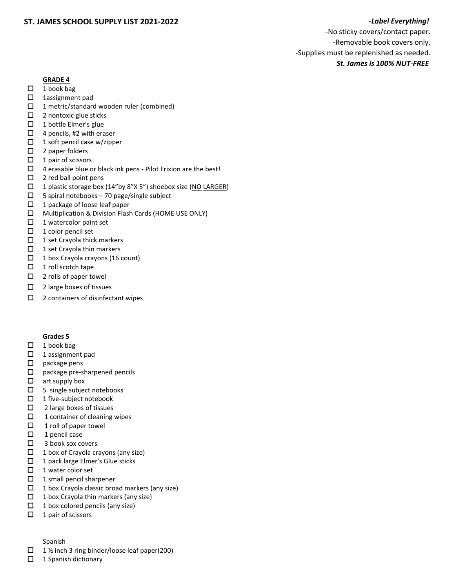# **ST. JAMES SCHOOL SUPPLY LIST 2021-2022** -*Label Everything!*

-No sticky covers/contact paper. -Removable book covers only. -Supplies must be replenished as needed. *St. James is 100% NUT-FREE* 

## **GRADE 4**

- $\Box$  1 book bag
- 1assignment pad
- □ 1 metric/standard wooden ruler (combined)
- $\Box$  2 nontoxic glue sticks
- $\Box$  1 bottle Elmer's glue
- $\Box$  4 pencils, #2 with eraser
- $\Box$  1 soft pencil case w/zipper
- $\Box$  2 paper folders
- $\Box$  1 pair of scissors
- $\Box$  4 erasable blue or black ink pens Pilot Frixion are the best!
- $\Box$  2 red ball point pens
- $\Box$  1 plastic storage box (14"by 8"X 5") shoebox size (NO LARGER)
- $\square$  5 spiral notebooks 70 page/single subject
- $\Box$  1 package of loose leaf paper
- Multiplication & Division Flash Cards (HOME USE ONLY)
- $\Box$  1 watercolor paint set
- $\Box$  1 color pencil set
- $\Box$  1 set Crayola thick markers
- $\Box$  1 set Crayola thin markers
- $\Box$  1 box Crayola crayons (16 count)
- $\Box$  1 roll scotch tape
- $\Box$  2 rolls of paper towel
- $\Box$  2 large boxes of tissues
- $\Box$  2 containers of disinfectant wipes

## **Grades 5**

- $\Box$  1 book bag
- $\Box$  1 assignment pad
- $\square$  package pens
- $\square$  package pre-sharpened pencils
- $\Box$  art supply box
- $\Box$  5 single subject notebooks
- $\Box$  1 five-subject notebook
- $\Box$  2 large boxes of tissues
- $\Box$  1 container of cleaning wipes
- $\Box$  1 roll of paper towel
- $\Box$  1 pencil case
- $\Box$  3 book sox covers
- $\Box$  1 box of Crayola crayons (any size)
- $\Box$  1 pack large Elmer's Glue sticks
- $\Box$  1 water color set
- $\Box$  1 small pencil sharpener
- $\Box$  1 box Crayola classic broad markers (any size)
- $\Box$  1 box Crayola thin markers (any size)
- $\Box$  1 box colored pencils (any size)
- $\Box$  1 pair of scissors

## **Spanish**

- $\Box$  1 % inch 3 ring binder/loose leaf paper(200)
- $\Box$  1 Spanish dictionary